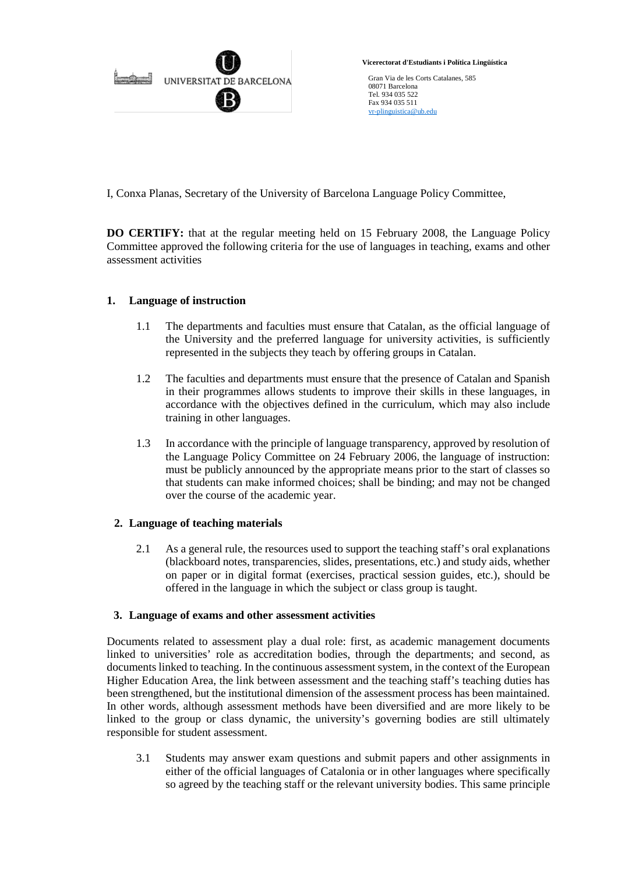

 **Vicerectorat d'Estudiants i Política Lingüística**

Gran Via de les Corts Catalanes, 585 08071 Barcelona Tel. 934 035 522 Fax 934 035 511 [vr-plinguistica@ub.edu](mailto:vr-plinguistica@ub.edu)

I, Conxa Planas, Secretary of the University of Barcelona Language Policy Committee,

**DO CERTIFY:** that at the regular meeting held on 15 February 2008, the Language Policy Committee approved the following criteria for the use of languages in teaching, exams and other assessment activities

## **1. Language of instruction**

- 1.1 The departments and faculties must ensure that Catalan, as the official language of the University and the preferred language for university activities, is sufficiently represented in the subjects they teach by offering groups in Catalan.
- 1.2 The faculties and departments must ensure that the presence of Catalan and Spanish in their programmes allows students to improve their skills in these languages, in accordance with the objectives defined in the curriculum, which may also include training in other languages.
- 1.3 In accordance with the principle of language transparency, approved by resolution of the Language Policy Committee on 24 February 2006, the language of instruction: must be publicly announced by the appropriate means prior to the start of classes so that students can make informed choices; shall be binding; and may not be changed over the course of the academic year.

## **2. Language of teaching materials**

2.1 As a general rule, the resources used to support the teaching staff's oral explanations (blackboard notes, transparencies, slides, presentations, etc.) and study aids, whether on paper or in digital format (exercises, practical session guides, etc.), should be offered in the language in which the subject or class group is taught.

## **3. Language of exams and other assessment activities**

Documents related to assessment play a dual role: first, as academic management documents linked to universities' role as accreditation bodies, through the departments; and second, as documents linked to teaching. In the continuous assessment system, in the context of the European Higher Education Area, the link between assessment and the teaching staff's teaching duties has been strengthened, but the institutional dimension of the assessment process has been maintained. In other words, although assessment methods have been diversified and are more likely to be linked to the group or class dynamic, the university's governing bodies are still ultimately responsible for student assessment.

3.1 Students may answer exam questions and submit papers and other assignments in either of the official languages of Catalonia or in other languages where specifically so agreed by the teaching staff or the relevant university bodies. This same principle